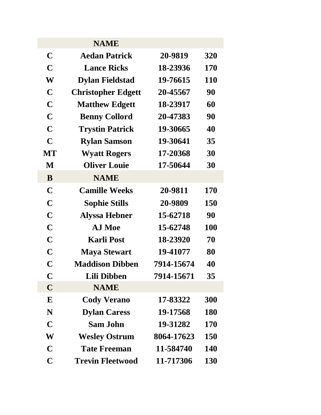|             | <b>NAME</b>               |            |            |
|-------------|---------------------------|------------|------------|
| $\mathbf C$ | <b>Aedan Patrick</b>      | 20-9819    | 320        |
| C           | <b>Lance Ricks</b>        | 18-23936   | 170        |
| W           | <b>Dylan Fieldstad</b>    | 19-76615   | <b>110</b> |
| C           | <b>Christopher Edgett</b> | 20-45567   | 90         |
| C           | <b>Matthew Edgett</b>     | 18-23917   | 60         |
| C           | <b>Benny Collord</b>      | 20-47383   | 90         |
| C           | <b>Trystin Patrick</b>    | 19-30665   | 40         |
| $\mathbf C$ | <b>Rylan Samson</b>       | 19-30641   | 35         |
| MT          | <b>Wyatt Rogers</b>       | 17-20368   | 30         |
| M           | <b>Oliver Louie</b>       | 17-50644   | 30         |
| B           | <b>NAME</b>               |            |            |
| $\mathbf C$ | <b>Camille Weeks</b>      | 20-9811    | 170        |
| $\mathbf C$ | <b>Sophie Stills</b>      | 20-9809    | 150        |
| $\mathbf C$ | <b>Alyssa Hebner</b>      | 15-62718   | 90         |
| $\mathbf C$ | A.J Moe                   | 15-62748   | <b>100</b> |
| C           | <b>Karli Post</b>         | 18-23920   | 70         |
| C           | <b>Maya Stewart</b>       | 19-41077   | 80         |
| C           | <b>Maddison Dibben</b>    | 7914-15674 | 40         |
| $\mathbf C$ | Lili Dibben               | 7914-15671 | 35         |
| $\mathbf C$ | <b>NAME</b>               |            |            |
| ${\bf E}$   | <b>Cody Verano</b>        | 17-83322   | 300        |
| N           | <b>Dylan Caress</b>       | 19-17568   | <b>180</b> |
| $\mathbf C$ | <b>Sam John</b>           | 19-31282   | <b>170</b> |
| W           | <b>Wesley Ostrum</b>      | 8064-17623 | <b>150</b> |
| $\mathbf C$ | <b>Tate Freeman</b>       | 11-584740  | <b>140</b> |
| $\mathbf C$ | <b>Trevin Fleetwood</b>   | 11-717306  | <b>130</b> |